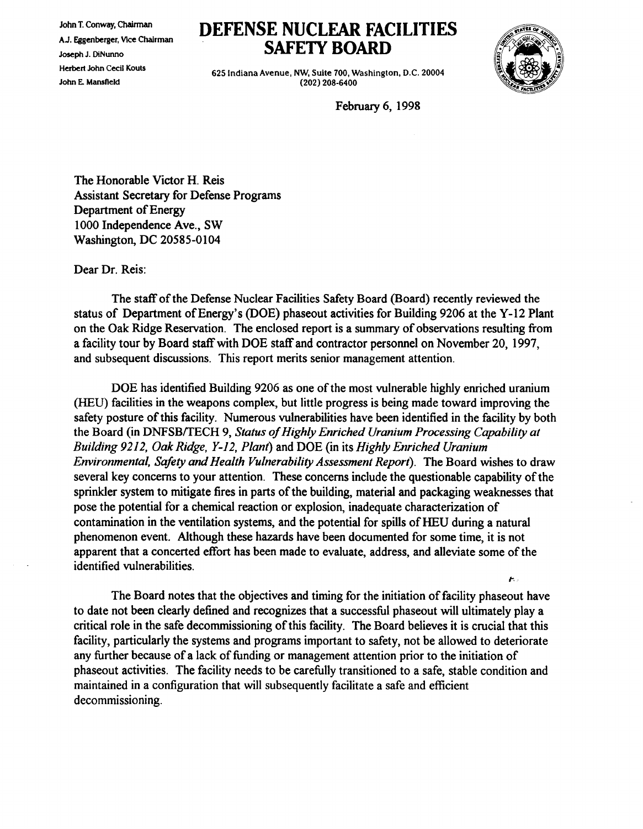John T. Conway, Chairman A.J. Eggenberger, Vice Chairman Joseph J. DiNunno Herbert John Cecil Kouts John E. Mansfield

## **DEFENSE NUCLEAR FACILITIES SAFETY BOARD**

625 Indiana Avenue, NW, Suite 700, Washington, D.C. 20004 (202) 208-6400



,..

February 6, 1998

The Honorable Victor H. Reis Assistant Secretary for Defense Programs Department of Energy 1000 Independence Ave., SW Washington, DC 20585-0104

Dear Dr. Reis:

The staff of the Defense Nuclear Facilities Safety Board (Board) recently reviewed the status of Department of Energy's (DOE) phaseout activities for Building 9206 at the Y-12 Plant on the Oak Ridge Reservation. The enclosed report is a summary of observations resulting from a facility tour by Board staff with DOE staff and contractor personnel on November 20, 1997, and subsequent discussions. This report merits senior management attention.

DOE has identified Building 9206 as one of the most vulnerable highly enriched uranium (HEU) facilities in the weapons complex, but little progress is being made toward improving the safety posture of this facility. Numerous vulnerabilities have been identified in the facility by both the Board (in DNFSB/TECH 9, *Status of Highly Enriched Uranium Processing Capability at Building* 9212, *Oak Ridge, Y-12, Plant)* and DOE (in its *Highly Enriched Uranium Environmental, Safety and Health Vulnerability Assessment Report).* The Board wishes to draw several key concerns to your attention. These concerns include the questionable capability of the sprinkler system to mitigate fires in parts of the building, material and packaging weaknesses that pose the potential for a chemical reaction or explosion, inadequate characterization of contamination in the ventilation systems, and the potential for spills of HEU during a natural phenomenon event. Although these hazards have been documented for some time, it is not apparent that a concerted effort has been made to evaluate, address, and alleviate some of the identified wlnerabilities.

The Board notes that the objectives and timing for the initiation of facility phaseout have to date not been clearly defined and recognizes that a successful phaseout will ultimately playa critical role in the safe decommissioning of this facility. The Board believes it is crucial that this facility, particularly the systems and programs important to safety, not be allowed to deteriorate any further because of a lack of funding or management attention prior to the initiation of phaseout activities. The facility needs to be carefully transitioned to a safe, stable condition and maintained in a configuration that will subsequently facilitate a safe and efficient decommissioning.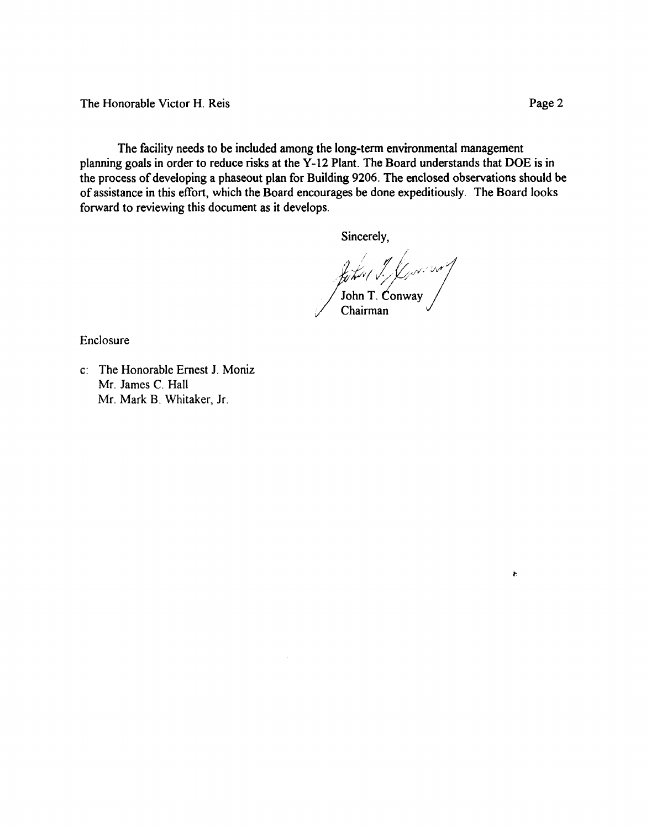The Honorable Victor H. Reis Page 2

The facility needs to be included among the long-tenn environmental management planning goals in order to reduce risks at the Y-12 Plant. The Board understands that DOE is in the process of developing a phaseout plan for Building 9206. The enclosed observations should be of assistance in this effort, which the Board encourages be done expeditiously. The Board looks forward to reviewing this document as it develops.

Sincerely,

John J. J. Jonson

Enclosure

c: The Honorable Ernest 1. Moniz Mr. James C. Hall Mr. Mark B. Whitaker, Jr.

 $\tilde{\mathbf{r}}$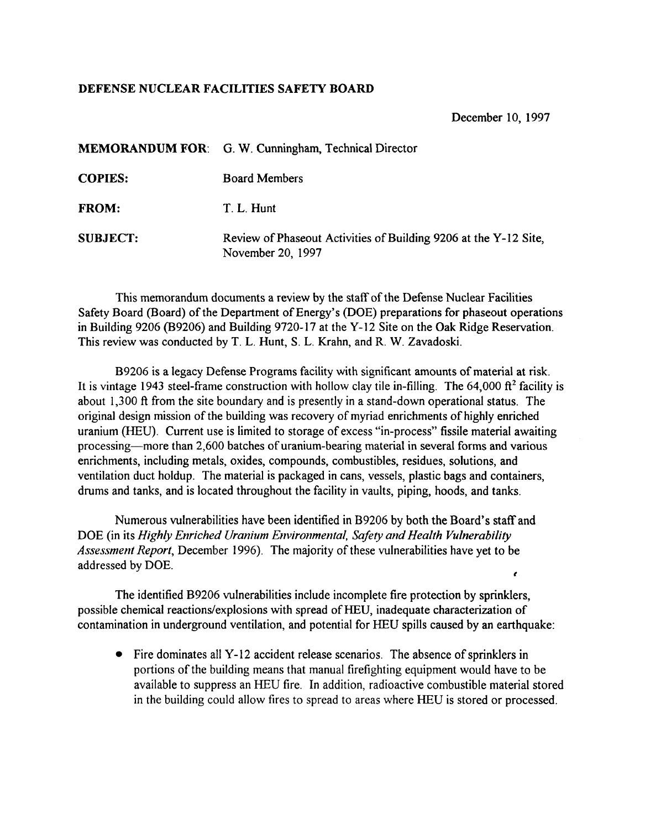## DEFENSE NUCLEAR FACILITIES SAFETY BOARD

December 10, 1997

|                 | <b>MEMORANDUM FOR:</b> G. W. Cunningham, Technical Director                           |
|-----------------|---------------------------------------------------------------------------------------|
| <b>COPIES:</b>  | <b>Board Members</b>                                                                  |
| <b>FROM:</b>    | T. L. Hunt                                                                            |
| <b>SUBJECT:</b> | Review of Phaseout Activities of Building 9206 at the Y-12 Site,<br>November 20, 1997 |

This memorandum documents a review by the staff ofthe Defense Nuclear Facilities Safety Board (Board) of the Department of Energy's (DOE) preparations for phaseout operations in Building 9206 (B9206) and Building 9720-17 at the Y-12 Site on the Oak Ridge Reservation. This review was conducted by T. L. Hunt, S. L. Krahn, and R. W. Zavadoski.

B9206 is a legacy Defense Programs facility with significant amounts of material at risk. It is vintage 1943 steel-frame construction with hollow clay tile in-filling. The 64,000  $\hat{\pi}^2$  facility is about 1,300 ft from the site boundary and is presently in a stand-down operational status. The original design mission of the building was recovery of myriad enrichments of highly enriched uranium (HEU). Current use is limited to storage of excess "in-process" fissile material awaiting processing-more than 2,600 batches of uranium-bearing material in several forms and various enrichments, including metals, oxides, compounds, combustibles, residues, solutions, and ventilation duct holdup. The material is packaged in cans, vessels, plastic bags and containers, drums and tanks, and is located throughout the facility in vaults, piping, hoods, and tanks.

 $\epsilon$ Numerous vulnerabilities have been identified in B9206 by both the Board's staff and DOE (in its *Highly Enriched Uranium Environmental, Safety and Health Vulnerability Assessment Report*, December 1996). The majority of these vulnerabilities have yet to be addressed by DOE.

The identified B9206 vulnerabilities include incomplete fire protection by sprinklers, possible chemical reactions/explosions with spread of HEU, inadequate characterization of contamination in underground ventilation, and potential for HEU spills caused by an earthquake:

• Fire dominates all Y-12 accident release scenarios. The absence of sprinklers in portions of the building means that manual firefighting equipment would have to be available to suppress an lIEU fire. In addition, radioactive combustible material stored in the building could allow fires to spread to areas where HEU is stored or processed.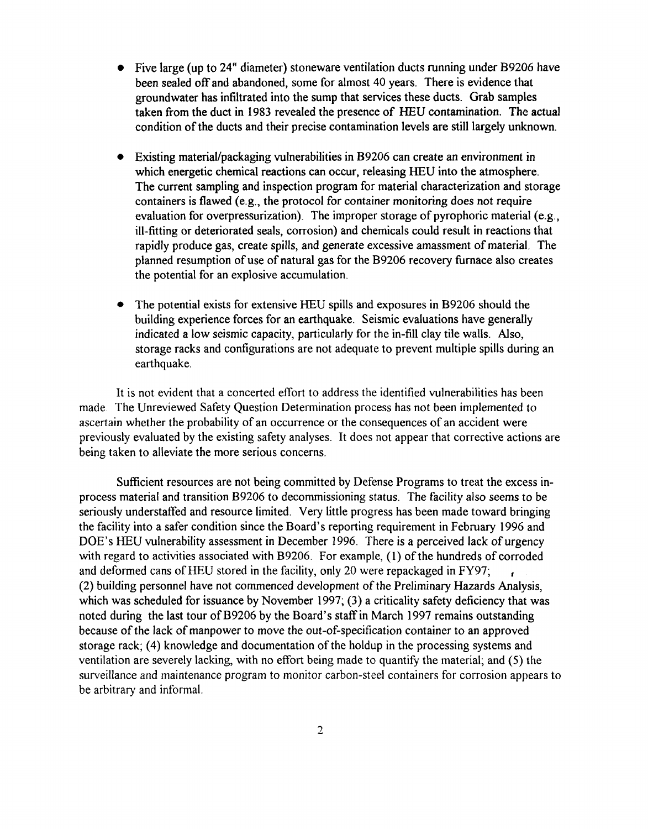- Five large (up to 24" diameter) stoneware ventilation ducts running under B9206 have been sealed off and abandoned, some for almost 40 years. There is evidence that groundwater has infiltrated into the sump that services these ducts. Grab samples taken from the duct in 1983 revealed the presence of HEU contamination. The actual condition of the ducts and their precise contamination levels are still largely unknown.
- Existing material/packaging vulnerabilities in B9206 can create an environment in which energetic chemical reactions can occur, releasing HEU into the atmosphere. The current sampling and inspection program for material characterization and storage containers is flawed (e.g., the protocol for container monitoring does not require evaluation for overpressurization). The improper storage of pyrophoric material (e.g., ill-fitting or deteriorated seals, corrosion) and chemicals could result in reactions that rapidly produce gas, create spills, and generate excessive amassment of material. The planned resumption of use of natural gas for the B9206 recovery furnace also creates the potential for an explosive accumulation.
- The potential exists for extensive HEU spills and exposures in B9206 should the building experience forces for an earthquake. Seismic evaluations have generally indicated a low seismic capacity, particularly for the in-fill clay tile walls. Also, storage racks and configurations are not adequate to prevent multiple spills during an earthquake.

It is not evident that a concerted effort to address the identified vulnerabilities has been made. The Unreviewed Safety Question Determination process has not been implemented to ascertain whether the probability of an occurrence or the consequences of an accident were previously evaluated by the existing safety analyses. It does not appear that corrective actions are being taken to alleviate the more serious concerns.

Sufficient resources are not being committed by Defense Programs to treat the excess inprocess material and transition B9206 to decommissioning status. The facility also seems to be seriously understaffed and resource limited. Very little progress has been made toward bringing the facility into a safer condition since the Board's reporting requirement in February 1996 and DOE's HEU vulnerability assessment in December 1996. There is a perceived lack of urgency with regard to activities associated with B9206. For example, (1) of the hundreds of corroded and deformed cans of HEU stored in the facility, only 20 were repackaged in FY97; (2) building personnel have not commenced development ofthe Preliminary Hazards Analysis, which was scheduled for issuance by November 1997; (3) a criticality safety deficiency that was noted during the last tour of B9206 by the Board's staff in March 1997 remains outstanding because of the lack of manpower to move the out-of-specification container to an approved storage rack; (4) knowledge and documentation of the holdup in the processing systems and ventilation are severely lacking, with no effort being made to quantify the material; and (5) the surveillance and maintenance program to monitor carbon-steel containers for corrosion appears to be arbitrary and informal.